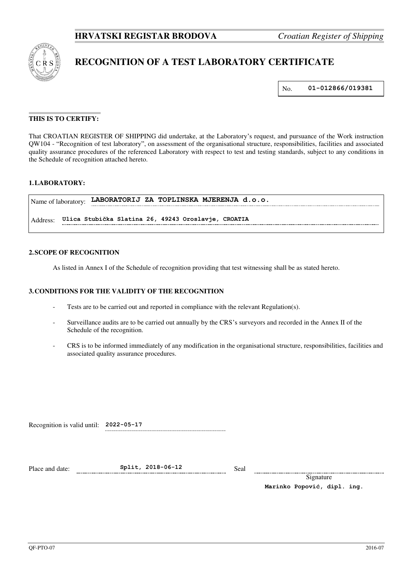

# **RECOGNITION OF A TEST LABORATORY CERTIFICATE**

No. **01-012866/019381**

# **THIS IS TO CERTIFY:**

That CROATIAN REGISTER OF SHIPPING did undertake, at the Laboratory's request, and pursuance of the Work instruction QW104 - "Recognition of test laboratory", on assessment of the organisational structure, responsibilities, facilities and associated quality assurance procedures of the referenced Laboratory with respect to test and testing standards, subject to any conditions in the Schedule of recognition attached hereto.

# **1. LABORATORY:**

|          | Name of laboratory: LABORATORIJ ZA TOPLINSKA MJERENJA d.o.o. |
|----------|--------------------------------------------------------------|
| Address: | Ulica Stubička Slatina 26, 49243 Oroslavje, CROATIA          |

#### **2. SCOPE OF RECOGNITION**

As listed in Annex I of the Schedule of recognition providing that test witnessing shall be as stated hereto.

#### **3. CONDITIONS FOR THE VALIDITY OF THE RECOGNITION**

- Tests are to be carried out and reported in compliance with the relevant Regulation(s).
- Surveillance audits are to be carried out annually by the CRS's surveyors and recorded in the Annex II of the Schedule of the recognition.
- CRS is to be informed immediately of any modification in the organisational structure, responsibilities, facilities and associated quality assurance procedures.

Recognition is valid until: **2022-05-17**

Place and date: **Split, 2018-06-12** Seal

Signature **Marinko Popović, dipl. ing.**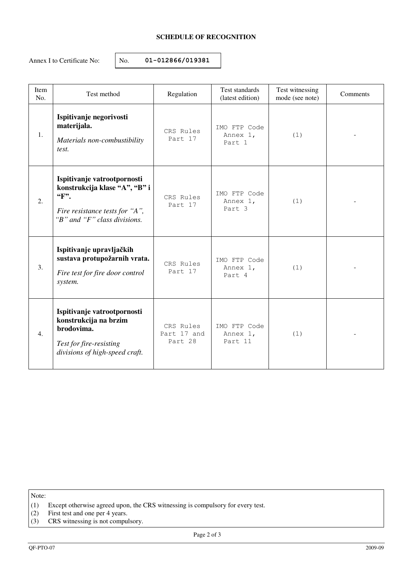# **SCHEDULE OF RECOGNITION**

Annex I to Certificate No:  $\vert$  No. **01-012866/019381** 

| Item<br>No. | Test method                                                                                                                                              | Regulation                          | Test standards<br>(latest edition)  | Test witnessing<br>mode (see note) | Comments |
|-------------|----------------------------------------------------------------------------------------------------------------------------------------------------------|-------------------------------------|-------------------------------------|------------------------------------|----------|
| 1.          | Ispitivanje negorivosti<br>materijala.<br>Materials non-combustibility<br>test.                                                                          | CRS Rules<br>Part 17                | IMO FTP Code<br>Annex 1,<br>Part 1  | (1)                                |          |
| 2.          | Ispitivanje vatrootpornosti<br>konstrukcija klase "A", "B" i<br>$\mathbf{F}$ .<br>Fire resistance tests for "A",<br>" $B$ " and " $F$ " class divisions. | CRS Rules<br>Part 17                | IMO FTP Code<br>Annex 1,<br>Part 3  | (1)                                |          |
| 3.          | Ispitivanje upravljačkih<br>sustava protupožarnih vrata.<br>Fire test for fire door control<br>system.                                                   | CRS Rules<br>Part 17                | IMO FTP Code<br>Annex 1,<br>Part 4  | (1)                                |          |
| 4.          | Ispitivanje vatrootpornosti<br>konstrukcija na brzim<br>brodovima.<br>Test for fire-resisting<br>divisions of high-speed craft.                          | CRS Rules<br>Part 17 and<br>Part 28 | IMO FTP Code<br>Annex 1,<br>Part 11 | (1)                                |          |

Note:

- (1) Except otherwise agreed upon, the CRS witnessing is compulsory for every test.
- (2) First test and one per 4 years.
- (3) CRS witnessing is not compulsory.

Page 2 of 3